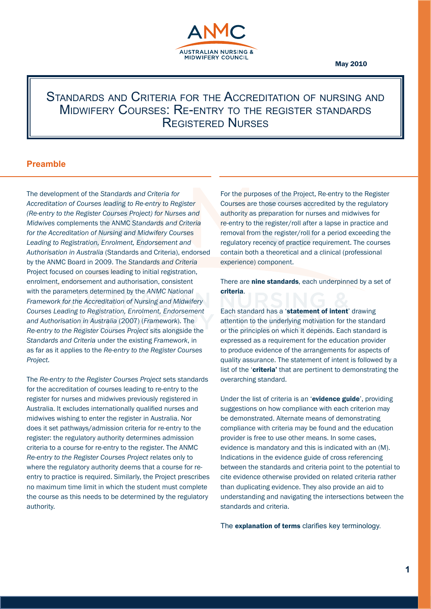

#### May 2010

# Standards and Criteria for the Accreditation of nursing and Midwifery Courses: Re-entry to the register standards Registered Nurses

# **Preamble**

The development of the *Standards and Criteria for Accreditation of Courses leading to Re-entry to Register (Re-entry to the Register Courses Project) for Nurses and Midwives* complements the ANMC *Standards and Criteria for the Accreditation of Nursing and Midwifery Courses Leading to Registration, Enrolment, Endorsement and Authorisation in Australia* (Standards and Criteria), endorsed by the ANMC Board in 2009. The *Standards and Criteria* Project focused on courses leading to initial registration, enrolment, endorsement and authorisation, consistent with the parameters determined by the *ANMC National Framework for the Accreditation of Nursing and Midwifery Courses Leading to Registration, Enrolment, Endorsement and Authorisation in Australia* (2007) (*Framework*). The *Re-entry to the Register Courses Project* sits alongside the *Standards and Criteria* under the existing *Framework*, in as far as it applies to the *Re-entry to the Register Courses Project.* 

The *Re-entry to the Register Courses Project* sets standards for the accreditation of courses leading to re-entry to the register for nurses and midwives previously registered in Australia. It excludes internationally qualified nurses and midwives wishing to enter the register in Australia. Nor does it set pathways/admission criteria for re-entry to the register: the regulatory authority determines admission criteria to a course for re-entry to the register. The ANMC *Re-entry to the Register Courses Project* relates only to where the regulatory authority deems that a course for reentry to practice is required. Similarly, the Project prescribes no maximum time limit in which the student must complete the course as this needs to be determined by the regulatory authority.

For the purposes of the Project, Re-entry to the Register Courses are those courses accredited by the regulatory authority as preparation for nurses and midwives for re-entry to the register/roll after a lapse in practice and removal from the register/roll for a period exceeding the regulatory recency of practice requirement. The courses contain both a theoretical and a clinical (professional experience) component.

There are **nine standards**, each underpinned by a set of criteria.

Each standard has a 'statement of intent' drawing attention to the underlying motivation for the standard or the principles on which it depends. Each standard is expressed as a requirement for the education provider to produce evidence of the arrangements for aspects of quality assurance. The statement of intent is followed by a list of the '**criteria'** that are pertinent to demonstrating the overarching standard.

Under the list of criteria is an 'evidence guide', providing suggestions on how compliance with each criterion may be demonstrated. Alternate means of demonstrating compliance with criteria may be found and the education provider is free to use other means. In some cases, evidence is mandatory and this is indicated with an (M). Indications in the evidence guide of cross referencing between the standards and criteria point to the potential to cite evidence otherwise provided on related criteria rather than duplicating evidence. They also provide an aid to understanding and navigating the intersections between the standards and criteria.

The explanation of terms clarifies key terminology.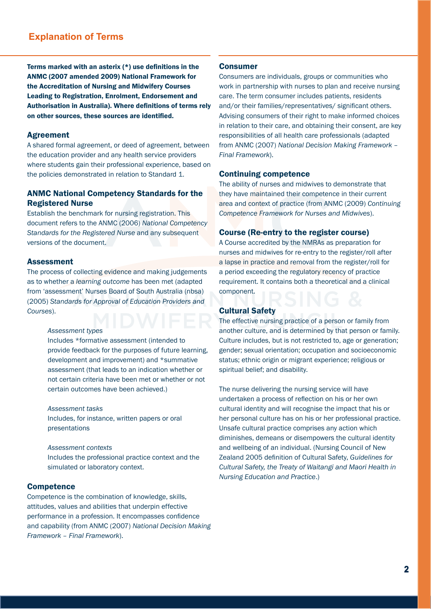# **Explanation of Terms**

Terms marked with an asterix (\*) use definitions in the ANMC (2007 amended 2009) National Framework for the Accreditation of Nursing and Midwifery Courses Leading to Registration, Enrolment, Endorsement and Authorisation in Australia). Where definitions of terms rely on other sources, these sources are identified.

#### Agreement

A shared formal agreement, or deed of agreement, between the education provider and any health service providers where students gain their professional experience, based on the policies demonstrated in relation to Standard 1.

# ANMC National Competency Standards for the Registered Nurse

Establish the benchmark for nursing registration. This document refers to the ANMC (2006) *National Competency Standards for the Registered Nurse* and any subsequent versions of the document.

#### Assessment

The process of collecting evidence and making judgements as to whether a *learning outcome* has been met (adapted from 'assessment' Nurses Board of South Australia (nbsa) (2005) *Standards for Approval of Education Providers and Courses*).

#### *Assessment types*

Includes \*formative assessment (intended to provide feedback for the purposes of future learning, development and improvement) and \*summative assessment (that leads to an indication whether or not certain criteria have been met or whether or not certain outcomes have been achieved.)

*Assessment tasks*  Includes, for instance, written papers or oral presentations

*Assessment contexts*  Includes the professional practice context and the simulated or laboratory context.

#### **Competence**

Competence is the combination of knowledge, skills, attitudes, values and abilities that underpin effective performance in a profession. It encompasses confidence and capability (from ANMC (2007) *National Decision Making Framework – Final Framework*).

#### Consumer

Consumers are individuals, groups or communities who work in partnership with nurses to plan and receive nursing care. The term consumer includes patients, residents and/or their families/representatives/ significant others. Advising consumers of their right to make informed choices in relation to their care, and obtaining their consent, are key responsibilities of all health care professionals (adapted from ANMC (2007) *National Decision Making Framework – Final Framework*).

#### Continuing competence

The ability of nurses and midwives to demonstrate that they have maintained their competence in their current area and context of practice (from ANMC (2009) *Continuing Competence Framework for Nurses and Midwives*).

### Course (Re-entry to the register course)

A Course accredited by the NMRAs as preparation for nurses and midwives for re-entry to the register/roll after a lapse in practice and removal from the register/roll for a period exceeding the regulatory recency of practice requirement. It contains both a theoretical and a clinical component.

#### Cultural Safety

The effective nursing practice of a person or family from another culture, and is determined by that person or family. Culture includes, but is not restricted to, age or generation; gender; sexual orientation; occupation and socioeconomic status; ethnic origin or migrant experience; religious or spiritual belief; and disability.

The nurse delivering the nursing service will have undertaken a process of reflection on his or her own cultural identity and will recognise the impact that his or her personal culture has on his or her professional practice. Unsafe cultural practice comprises any action which diminishes, demeans or disempowers the cultural identity and wellbeing of an individual. (Nursing Council of New Zealand 2005 definition of Cultural Safety, *Guidelines for Cultural Safety, the Treaty of Waitangi and Maori Health in Nursing Education and Practice*.)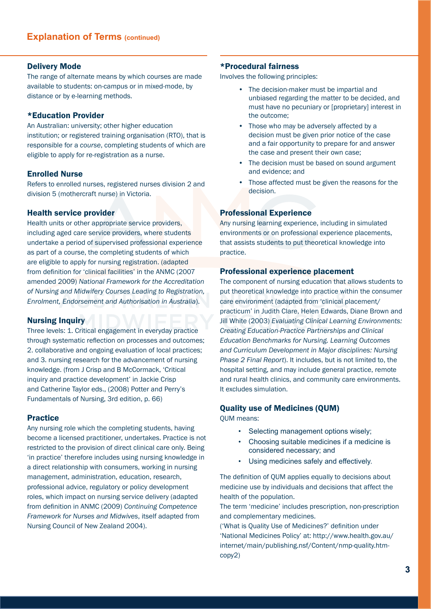#### Delivery Mode

The range of alternate means by which courses are made available to students: on-campus or in mixed-mode, by distance or by e-learning methods.

#### \*Education Provider

An Australian: university; other higher education institution; or registered training organisation (RTO), that is responsible for a *course*, completing students of which are eligible to apply for re-registration as a nurse.

#### Enrolled Nurse

Refers to enrolled nurses, registered nurses division 2 and division 5 (mothercraft nurse) in Victoria.

#### Health service provider

Health units or other appropriate service providers, including aged care service providers, where students undertake a period of supervised professional experience as part of a course, the completing students of which are eligible to apply for nursing registration. (adapted from definition for 'clinical facilities' in the ANMC (2007 amended 2009) *National Framework for the Accreditation of Nursing and Midwifery Courses Leading to Registration, Enrolment, Endorsement and Authorisation in Australia*).

#### Nursing Inquiry

Three levels: 1. Critical engagement in everyday practice through systematic reflection on processes and outcomes; 2. collaborative and ongoing evaluation of local practices; and 3. nursing research for the advancement of nursing knowledge. (from J Crisp and B McCormack, 'Critical inquiry and practice development' in Jackie Crisp and Catherine Taylor eds., (2008) Potter and Perry's Fundamentals of Nursing, 3rd edition, p. 66)

### Practice

Any nursing role which the completing students, having become a licensed practitioner, undertakes. Practice is not restricted to the provision of direct clinical care only. Being 'in practice' therefore includes using nursing knowledge in a direct relationship with consumers, working in nursing management, administration, education, research, professional advice, regulatory or policy development roles, which impact on nursing service delivery (adapted from definition in ANMC (2009) *Continuing Competence Framework for Nurses and Midwives*, itself adapted from Nursing Council of New Zealand 2004).

#### \*Procedural fairness

Involves the following principles:

- The decision-maker must be impartial and unbiased regarding the matter to be decided, and must have no pecuniary or [proprietary] interest in the outcome;
- Those who may be adversely affected by a decision must be given prior notice of the case and a fair opportunity to prepare for and answer the case and present their own case;
- The decision must be based on sound argument and evidence; and
- Those affected must be given the reasons for the decision.

#### Professional Experience

Any nursing learning experience, including in simulated environments or on professional experience placements, that assists students to put theoretical knowledge into practice.

#### Professional experience placement

The component of nursing education that allows students to put theoretical knowledge into practice within the consumer care environment (adapted from 'clinical placement/ practicum' in Judith Clare, Helen Edwards, Diane Brown and Jill White (2003) *Evaluating Clinical Learning Environments: Creating Education-Practice Partnerships and Clinical Education Benchmarks for Nursing. Learning Outcomes and Curriculum Development in Major disciplines: Nursing Phase 2 Final Report*). It includes, but is not limited to, the hospital setting, and may include general practice, remote and rural health clinics, and community care environments. It excludes simulation.

### Quality use of Medicines (QUM)

QUM means:

- Selecting management options wisely;
- Choosing suitable medicines if a medicine is considered necessary; and
- Using medicines safely and effectively.

The definition of QUM applies equally to decisions about medicine use by individuals and decisions that affect the health of the population.

The term 'medicine' includes prescription, non-prescription and complementary medicines.

('What is Quality Use of Medicines?' definition under 'National Medicines Policy' at: http://www.health.gov.au/ internet/main/publishing.nsf/Content/nmp-quality.htmcopy2)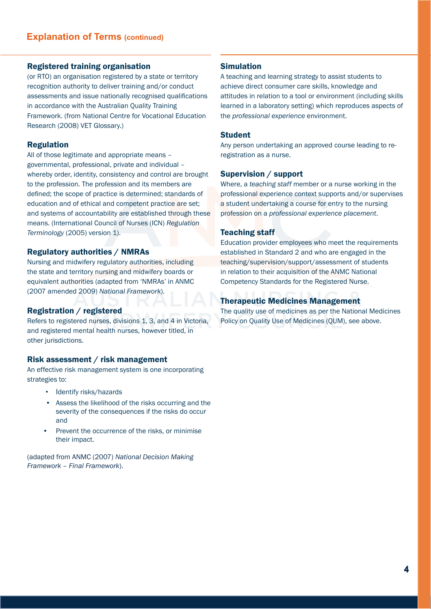### Registered training organisation

(or RTO) an organisation registered by a state or territory recognition authority to deliver training and/or conduct assessments and issue nationally recognised qualifications in accordance with the Australian Quality Training Framework. (from National Centre for Vocational Education Research (2008) VET Glossary.)

#### Regulation

All of those legitimate and appropriate means – governmental, professional, private and individual – whereby order, identity, consistency and control are brought to the profession. The profession and its members are defined; the scope of practice is determined; standards of education and of ethical and competent practice are set; and systems of accountability are established through these means. (International Council of Nurses (ICN) *Regulation Terminology* (2005) version 1).

# Regulatory authorities / NMRAs

Nursing and midwifery regulatory authorities, including the state and territory nursing and midwifery boards or equivalent authorities (adapted from 'NMRAs' in ANMC (2007 amended 2009) *National Framework*).

#### Registration / registered

Refers to registered nurses, divisions 1, 3, and 4 in Victoria, and registered mental health nurses, however titled, in other jurisdictions.

### Risk assessment / risk management

An effective risk management system is one incorporating strategies to:

- Identify risks/hazards
- Assess the likelihood of the risks occurring and the severity of the consequences if the risks do occur and
- Prevent the occurrence of the risks, or minimise their impact.

(adapted from ANMC (2007) *National Decision Making Framework – Final Framework*).

#### Simulation

A teaching and learning strategy to assist students to achieve direct consumer care skills, knowledge and attitudes in relation to a tool or environment (including skills learned in a laboratory setting) which reproduces aspects of the *professional experience* environment.

### Student

Any person undertaking an approved course leading to reregistration as a nurse.

#### Supervision / support

Where, a *teaching staff* member or a nurse working in the professional experience context supports and/or supervises a student undertaking a course for entry to the nursing profession on a *professional experience placement*.

#### Teaching staff

Education provider employees who meet the requirements established in Standard 2 and who are engaged in the teaching/supervision/support/assessment of students in relation to their acquisition of the ANMC National Competency Standards for the Registered Nurse.

#### Therapeutic Medicines Management

The quality use of medicines as per the National Medicines Policy on Quality Use of Medicines (QUM), see above.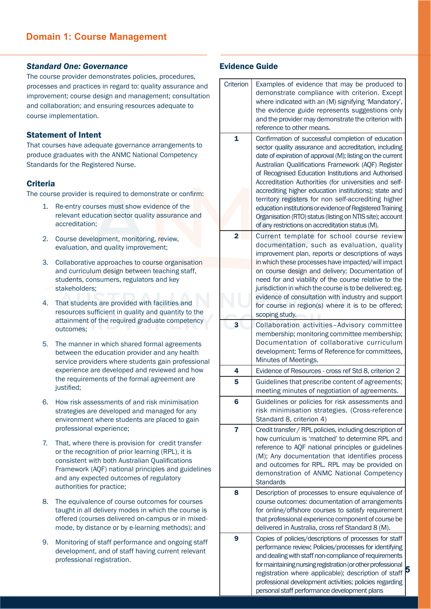### *Standard One: Governance*

The course provider demonstrates policies, procedures, processes and practices in regard to: quality assurance and improvement; course design and management; consultation and collaboration; and ensuring resources adequate to course implementation.

### Statement of Intent

That courses have adequate governance arrangements to produce graduates with the ANMC National Competency Standards for the Registered Nurse.

### **Criteria**

The course provider is required to demonstrate or confirm:

- 1. Re-entry courses must show evidence of the relevant education sector quality assurance and accreditation;
- 2. Course development, monitoring, review, evaluation, and quality improvement;
- 3. Collaborative approaches to course organisation and curriculum design between teaching staff, students, consumers, regulators and key stakeholders;
- 4. That students are provided with facilities and resources sufficient in quality and quantity to the attainment of the required graduate competency outcomes;
- 5. The manner in which shared formal agreements between the education provider and any health service providers where students gain professional experience are developed and reviewed and how the requirements of the formal agreement are justified;
- 6. How risk assessments of and risk minimisation strategies are developed and managed for any environment where students are placed to gain professional experience;
- 7. That, where there is provision for credit transfer or the recognition of prior learning (RPL), it is consistent with both Australian Qualifications Framework (AQF) national principles and guidelines and any expected outcomes of regulatory authorities for practice;
- 8. The equivalence of course outcomes for courses taught in all delivery modes in which the course is offered (courses delivered on-campus or in mixedmode, by distance or by e-learning methods); and
- 9. Monitoring of staff performance and ongoing staff development, and of staff having current relevant professional registration.

| Criterion               | Examples of evidence that may be produced to                                                                    |
|-------------------------|-----------------------------------------------------------------------------------------------------------------|
|                         | demonstrate compliance with criterion. Except                                                                   |
|                         | where indicated with an (M) signifying 'Mandatory',                                                             |
|                         | the evidence guide represents suggestions only                                                                  |
|                         | and the provider may demonstrate the criterion with<br>reference to other means.                                |
| $\overline{\mathbf{1}}$ |                                                                                                                 |
|                         | Confirmation of successful completion of education<br>sector quality assurance and accreditation, including     |
|                         | date of expiration of approval (M); listing on the current                                                      |
|                         | Australian Qualifications Framework (AQF) Register                                                              |
|                         | of Recognised Education Institutions and Authorised                                                             |
|                         | Accreditation Authorities (for universities and self-                                                           |
|                         | accrediting higher education institutions); state and                                                           |
|                         | territory registers for non self-accrediting higher                                                             |
|                         | education institutions or evidence of Registered Training                                                       |
|                         | Organisation (RTO) status (listing on NTIS site); account<br>of any restrictions on accreditation status (M).   |
|                         |                                                                                                                 |
| $\mathbf{2}$            | Current template for school course review<br>documentation, such as evaluation, quality                         |
|                         | improvement plan, reports or descriptions of ways                                                               |
|                         | in which these processes have impacted/will impact                                                              |
|                         | on course design and delivery; Documentation of                                                                 |
|                         | need for and viability of the course relative to the                                                            |
|                         | jurisdiction in which the course is to be delivered: eg.                                                        |
|                         | evidence of consultation with industry and support                                                              |
|                         | for course in region(s) where it is to be offered;                                                              |
|                         | scoping study.                                                                                                  |
| 3                       | Collaboration activities-Advisory committee                                                                     |
|                         | membership; monitoring committee membership;<br>Documentation of collaborative curriculum                       |
|                         | development: Terms of Reference for committees,                                                                 |
|                         | Minutes of Meetings.                                                                                            |
| 4                       | Evidence of Resources - cross ref Std 8, criterion 2                                                            |
| 5                       | Guidelines that prescribe content of agreements;                                                                |
|                         | meeting minutes of negotiation of agreements.                                                                   |
| 6                       | Guidelines or policies for risk assessments and                                                                 |
|                         | risk minimisation strategies. (Cross-reference                                                                  |
|                         | Standard 8, criterion 4)                                                                                        |
| 7                       | Credit transfer / RPL policies, including description of                                                        |
|                         | how curriculum is 'matched' to determine RPL and                                                                |
|                         | reference to AQF national principles or guidelines<br>(M); Any documentation that identifies process            |
|                         | and outcomes for RPL. RPL may be provided on                                                                    |
|                         | demonstration of ANMC National Competency                                                                       |
|                         | <b>Standards</b>                                                                                                |
| 8                       | Description of processes to ensure equivalence of                                                               |
|                         | course outcomes: documentation of arrangements                                                                  |
|                         | for online/offshore courses to satisfy requirement                                                              |
|                         | that professional experience component of course be                                                             |
|                         | delivered in Australia, cross ref Standard 8 (M).                                                               |
| 9                       | Copies of policies/descriptions of processes for staff                                                          |
|                         | performance review; Policies/processes for identifying<br>and dealing with staff non-compliance of requirements |
|                         | for maintaining nursing registration (or other professional                                                     |
|                         | 5<br>registration where applicable); description of staff                                                       |
|                         | professional development activities; policies regarding                                                         |
|                         | personal staff performance development plans                                                                    |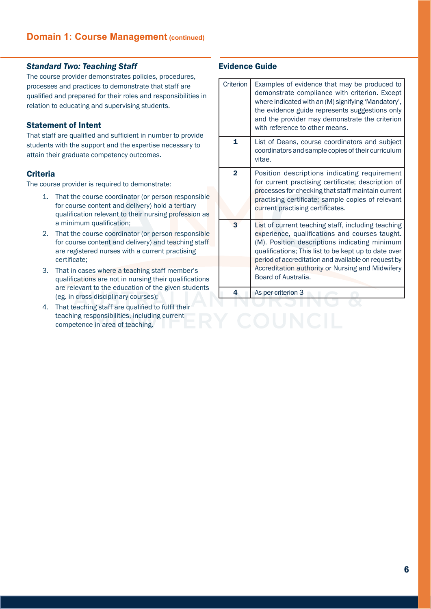### *Standard Two: Teaching Staff*

The course provider demonstrates policies, procedures, processes and practices to demonstrate that staff are qualified and prepared for their roles and responsibilities in relation to educating and supervising students.

### Statement of Intent

That staff are qualified and sufficient in number to provide students with the support and the expertise necessary to attain their graduate competency outcomes.

### **Criteria**

The course provider is required to demonstrate:

- 1. That the course coordinator (or person responsible for course content and delivery) hold a tertiary qualification relevant to their nursing profession as a minimum qualification;
- 2. That the course coordinator (or person responsible for course content and delivery) and teaching staff are registered nurses with a current practising certificate;
- 3. That in cases where a teaching staff member's qualifications are not in nursing their qualifications are relevant to the education of the given students (eg. in cross-disciplinary courses);
- 4. That teaching staff are qualified to fulfil their teaching responsibilities, including current competence in area of teaching.

| Criterion      | Examples of evidence that may be produced to<br>demonstrate compliance with criterion. Except<br>where indicated with an (M) signifying 'Mandatory',<br>the evidence guide represents suggestions only<br>and the provider may demonstrate the criterion<br>with reference to other means.                                                      |
|----------------|-------------------------------------------------------------------------------------------------------------------------------------------------------------------------------------------------------------------------------------------------------------------------------------------------------------------------------------------------|
| $\mathbf{1}$   | List of Deans, course coordinators and subject<br>coordinators and sample copies of their curriculum<br>vitae.                                                                                                                                                                                                                                  |
| $\overline{2}$ | Position descriptions indicating requirement<br>for current practising certificate; description of<br>processes for checking that staff maintain current<br>practising certificate; sample copies of relevant<br>current practising certificates.                                                                                               |
| 3              | List of current teaching staff, including teaching<br>experience, qualifications and courses taught.<br>(M). Position descriptions indicating minimum<br>qualifications; This list to be kept up to date over<br>period of accreditation and available on request by<br>Accreditation authority or Nursing and Midwifery<br>Board of Australia. |
| 4              | As per criterion 3                                                                                                                                                                                                                                                                                                                              |
|                |                                                                                                                                                                                                                                                                                                                                                 |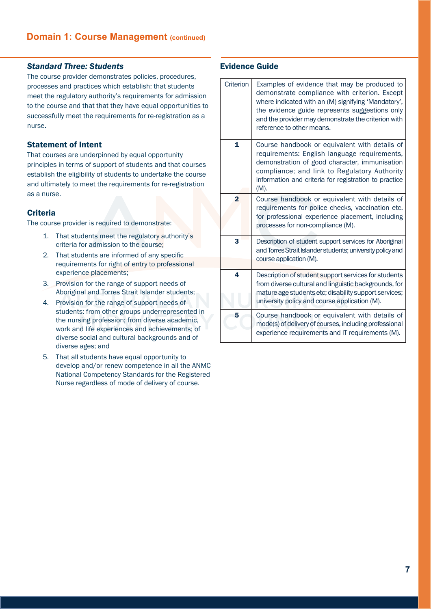### *Standard Three: Students*

The course provider demonstrates policies, procedures, processes and practices which establish: that students meet the regulatory authority's requirements for admission to the course and that that they have equal opportunities to successfully meet the requirements for re-registration as a nurse.

#### Statement of Intent

That courses are underpinned by equal opportunity principles in terms of support of students and that courses establish the eligibility of students to undertake the course and ultimately to meet the requirements for re-registration as a nurse.

#### **Criteria**

The course provider is required to demonstrate:

- 1. That students meet the regulatory authority's criteria for admission to the course;
- 2. That students are informed of any specific requirements for right of entry to professional experience placements;
- 3. Provision for the range of support needs of Aboriginal and Torres Strait Islander students;
- 4. Provision for the range of support needs of students: from other groups underrepresented in the nursing profession; from diverse academic, work and life experiences and achievements; of diverse social and cultural backgrounds and of diverse ages; and
- 5. That all students have equal opportunity to develop and/or renew competence in all the ANMC National Competency Standards for the Registered Nurse regardless of mode of delivery of course.

| Criterion      | Examples of evidence that may be produced to<br>demonstrate compliance with criterion. Except<br>where indicated with an (M) signifying 'Mandatory',<br>the evidence guide represents suggestions only<br>and the provider may demonstrate the criterion with<br>reference to other means. |
|----------------|--------------------------------------------------------------------------------------------------------------------------------------------------------------------------------------------------------------------------------------------------------------------------------------------|
| 1              | Course handbook or equivalent with details of<br>requirements: English language requirements,<br>demonstration of good character, immunisation<br>compliance; and link to Regulatory Authority<br>information and criteria for registration to practice<br>(M).                            |
| $\overline{2}$ | Course handbook or equivalent with details of<br>requirements for police checks, vaccination etc.<br>for professional experience placement, including<br>processes for non-compliance (M).                                                                                                 |
| 3              | Description of student support services for Aboriginal<br>and Torres Strait Islander students; university policy and<br>course application (M).                                                                                                                                            |
| 4              | Description of student support services for students<br>from diverse cultural and linguistic backgrounds, for<br>mature age students etc; disability support services;<br>university policy and course application (M).                                                                    |
| 5              | Course handbook or equivalent with details of<br>mode(s) of delivery of courses, including professional<br>experience requirements and IT requirements (M).                                                                                                                                |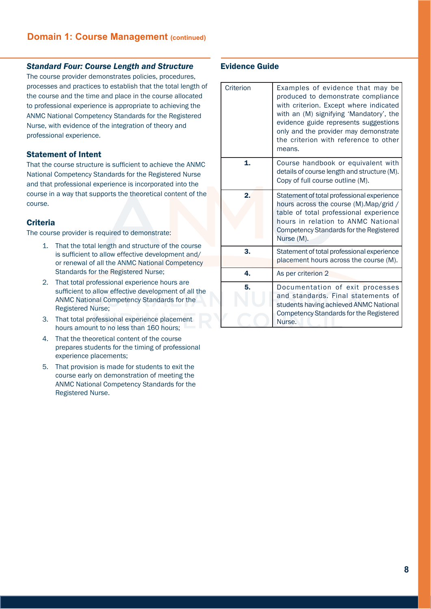### *Standard Four: Course Length and Structure*

The course provider demonstrates policies, procedures, processes and practices to establish that the total length of the course and the time and place in the course allocated to professional experience is appropriate to achieving the ANMC National Competency Standards for the Registered Nurse, with evidence of the integration of theory and professional experience.

### Statement of Intent

That the course structure is sufficient to achieve the ANMC National Competency Standards for the Registered Nurse and that professional experience is incorporated into the course in a way that supports the theoretical content of the course.

# **Criteria**

The course provider is required to demonstrate:

- 1. That the total length and structure of the course is sufficient to allow effective development and/ or renewal of all the ANMC National Competency Standards for the Registered Nurse;
- 2. That total professional experience hours are sufficient to allow effective development of all the ANMC National Competency Standards for the Registered Nurse;
- 3. That total professional experience placement hours amount to no less than 160 hours;
- 4. That the theoretical content of the course prepares students for the timing of professional experience placements;
- 5. That provision is made for students to exit the course early on demonstration of meeting the ANMC National Competency Standards for the Registered Nurse.

| Criterion | Examples of evidence that may be<br>produced to demonstrate compliance<br>with criterion. Except where indicated<br>with an (M) signifying 'Mandatory', the<br>evidence guide represents suggestions<br>only and the provider may demonstrate<br>the criterion with reference to other<br>means. |
|-----------|--------------------------------------------------------------------------------------------------------------------------------------------------------------------------------------------------------------------------------------------------------------------------------------------------|
| 1.        | Course handbook or equivalent with<br>details of course length and structure (M).<br>Copy of full course outline (M).                                                                                                                                                                            |
| 2.        | Statement of total professional experience<br>hours across the course (M). Map/grid /<br>table of total professional experience<br>hours in relation to ANMC National<br><b>Competency Standards for the Registered</b><br>Nurse (M).                                                            |
| 3.        | Statement of total professional experience<br>placement hours across the course (M).                                                                                                                                                                                                             |
| 4.        | As per criterion 2                                                                                                                                                                                                                                                                               |
| 5.        | Documentation of exit processes<br>and standards. Final statements of<br>students having achieved ANMC National<br>Competency Standards for the Registered<br>Nurse.                                                                                                                             |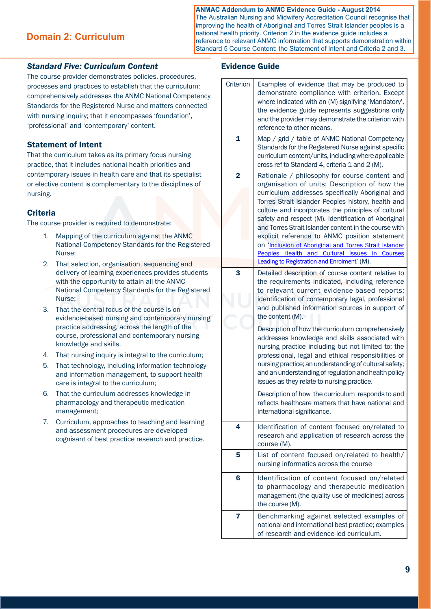# **ANMAC Addendum to ANMC Evidence Guide - August 2014**

**Domain 2: Curriculum**

The Australian Nursing and Midwifery Accreditation Council recognise that improving the health of Aboriginal and Torres Strait Islander peoples is a national health priority. Criterion 2 in the evidence guide includes a reference to relevant ANMC information that supports demonstration within Standard 5 Course Content: the Statement of Intent and Criteria 2 and 3.

### *Standard Five: Curriculum Content*

The course provider demonstrates policies, procedures, processes and practices to establish that the curriculum: comprehensively addresses the ANMC National Competency Standards for the Registered Nurse and matters connected with nursing inquiry; that it encompasses 'foundation', 'professional' and 'contemporary' content.

# Statement of Intent

That the curriculum takes as its primary focus nursing practice, that it includes national health priorities and contemporary issues in health care and that its specialist or elective content is complementary to the disciplines of nursing.

### **Criteria**

The course provider is required to demonstrate:

- 1. Mapping of the curriculum against the ANMC National Competency Standards for the Registered Nurse;
- 2. That selection, organisation, sequencing and delivery of learning experiences provides students with the opportunity to attain all the ANMC National Competency Standards for the Registered Nurse;
- 3. That the central focus of the course is on evidence-based nursing and contemporary nursing practice addressing, across the length of the course, professional and contemporary nursing knowledge and skills.
- 4. That nursing inquiry is integral to the curriculum;
- 5. That technology, including information technology and information management, to support health care is integral to the curriculum;
- 6. That the curriculum addresses knowledge in pharmacology and therapeutic medication management;
- 7. Curriculum, approaches to teaching and learning and assessment procedures are developed cognisant of best practice research and practice.

| Criterion      | Examples of evidence that may be produced to<br>demonstrate compliance with criterion. Except<br>where indicated with an (M) signifying 'Mandatory',<br>the evidence guide represents suggestions only<br>and the provider may demonstrate the criterion with<br>reference to other means.                                                                                                                                                                                                                                                                                                  |
|----------------|---------------------------------------------------------------------------------------------------------------------------------------------------------------------------------------------------------------------------------------------------------------------------------------------------------------------------------------------------------------------------------------------------------------------------------------------------------------------------------------------------------------------------------------------------------------------------------------------|
| $\mathbf{1}$   | Map / grid / table of ANMC National Competency<br>Standards for the Registered Nurse against specific<br>curriculum content/units, including where applicable<br>cross-ref to Standard 4, criteria 1 and 2 (M).                                                                                                                                                                                                                                                                                                                                                                             |
| $\overline{2}$ | Rationale / philosophy for course content and<br>organisation of units; Description of how the<br>curriculum addresses specifically Aboriginal and<br>Torres Strait Islander Peoples history, health and<br>culture and incorporates the principles of cultural<br>safety and respect (M). Identification of Aboriginal<br>and Torres Strait Islander content in the course with<br>explicit reference to ANMC position statement<br>on 'Inclusion of Aboriginal and Torres Strait Islander<br>Peoples Health and Cultural Issues in Courses<br>Leading to Registration and Enrolment' (M). |
| 3              | Detailed description of course content relative to<br>the requirements indicated, including reference<br>to relevant current evidence-based reports;<br>identification of contemporary legal, professional<br>and published information sources in support of<br>the content (M).                                                                                                                                                                                                                                                                                                           |
|                | Description of how the curriculum comprehensively<br>addresses knowledge and skills associated with<br>nursing practice including but not limited to: the<br>professional, legal and ethical responsibilities of<br>nursing practice; an understanding of cultural safety;<br>and an understanding of regulation and health policy<br>issues as they relate to nursing practice.                                                                                                                                                                                                            |
|                | Description of how the curriculum responds to and<br>reflects healthcare matters that have national and<br>international significance.                                                                                                                                                                                                                                                                                                                                                                                                                                                      |
| 4              | Identification of content focused on/related to<br>research and application of research across the<br>course (M).                                                                                                                                                                                                                                                                                                                                                                                                                                                                           |
| 5              | List of content focused on/related to health/<br>nursing informatics across the course                                                                                                                                                                                                                                                                                                                                                                                                                                                                                                      |
| 6              | Identification of content focused on/related<br>to pharmacology and therapeutic medication<br>management (the quality use of medicines) across<br>the course (M).                                                                                                                                                                                                                                                                                                                                                                                                                           |
| 7              | Benchmarking against selected examples of<br>national and international best practice; examples<br>of research and evidence-led curriculum.                                                                                                                                                                                                                                                                                                                                                                                                                                                 |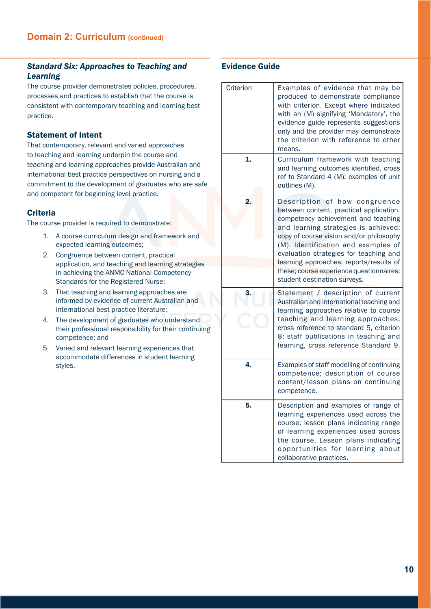# *Standard Six: Approaches to Teaching and Learning*

The course provider demonstrates policies, procedures, processes and practices to establish that the course is consistent with contemporary teaching and learning best practice.

# Statement of Intent

That contemporary, relevant and varied approaches to teaching and learning underpin the course and teaching and learning approaches provide Australian and international best practice perspectives on nursing and a commitment to the development of graduates who are safe and competent for beginning level practice.

# **Criteria**

The course provider is required to demonstrate:

- 1. A course curriculum design and framework and expected learning outcomes;
- 2. Congruence between content, practical application, and teaching and learning strategies in achieving the ANMC National Competency Standards for the Registered Nurse;
- 3. That teaching and learning approaches are informed by evidence of current Australian and international best practice literature;
- 4. The development of graduates who understand their professional responsibility for their continuing competence; and
- 5. Varied and relevant learning experiences that accommodate differences in student learning styles.

| Criterion | Examples of evidence that may be<br>produced to demonstrate compliance<br>with criterion. Except where indicated<br>with an (M) signifying 'Mandatory', the<br>evidence guide represents suggestions<br>only and the provider may demonstrate<br>the criterion with reference to other<br>means.                                                                                                           |
|-----------|------------------------------------------------------------------------------------------------------------------------------------------------------------------------------------------------------------------------------------------------------------------------------------------------------------------------------------------------------------------------------------------------------------|
| 1.        | Curriculum framework with teaching<br>and learning outcomes identified, cross<br>ref to Standard 4 (M); examples of unit<br>outlines (M).                                                                                                                                                                                                                                                                  |
| 2.        | Description of how congruence<br>between content, practical application,<br>competency achievement and teaching<br>and learning strategies is achieved;<br>copy of course vision and/or philosophy<br>(M). Identification and examples of<br>evaluation strategies for teaching and<br>learning approaches; reports/results of<br>these; course experience questionnaires;<br>student destination surveys. |
| 3.        | Statement / description of current<br>Australian and international teaching and<br>learning approaches relative to course<br>teaching and learning approaches,<br>cross reference to standard 5, criterion<br>8; staff publications in teaching and<br>learning, cross reference Standard 9.                                                                                                               |
| 4.        | Examples of staff modelling of continuing<br>competence; description of course<br>content/lesson plans on continuing<br>competence.                                                                                                                                                                                                                                                                        |
| 5         | Description and examples of range of<br>learning experiences used across the<br>course; lesson plans indicating range<br>of learning experiences used across<br>the course. Lesson plans indicating<br>opportunities for learning about<br>collaborative practices.                                                                                                                                        |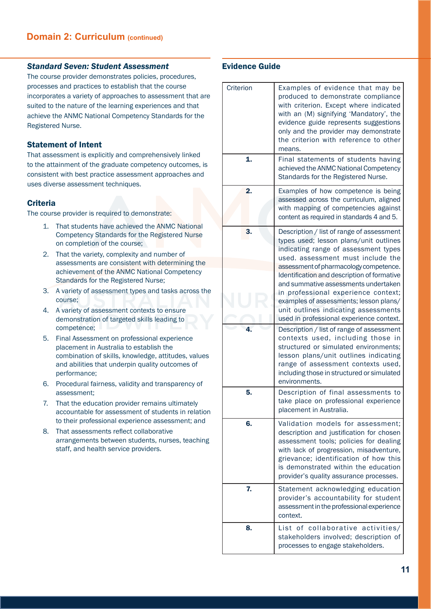### *Standard Seven: Student Assessment*

The course provider demonstrates policies, procedures, processes and practices to establish that the course incorporates a variety of approaches to assessment that are suited to the nature of the learning experiences and that achieve the ANMC National Competency Standards for the Registered Nurse.

### Statement of Intent

That assessment is explicitly and comprehensively linked to the attainment of the graduate competency outcomes, is consistent with best practice assessment approaches and uses diverse assessment techniques.

### **Criteria**

The course provider is required to demonstrate:

- 1. That students have achieved the ANMC National Competency Standards for the Registered Nurse on completion of the course;
- 2. That the variety, complexity and number of assessments are consistent with determining the achievement of the ANMC National Competency Standards for the Registered Nurse;
- 3. A variety of assessment types and tasks across the course;
- 4. A variety of assessment contexts to ensure demonstration of targeted skills leading to competence;
- 5. Final Assessment on professional experience placement in Australia to establish the combination of skills, knowledge, attitudes, values and abilities that underpin quality outcomes of performance;
- 6. Procedural fairness, validity and transparency of assessment;
- 7. That the education provider remains ultimately accountable for assessment of students in relation to their professional experience assessment; and
- 8. That assessments reflect collaborative arrangements between students, nurses, teaching staff, and health service providers.

| Criterion    | Examples of evidence that may be<br>produced to demonstrate compliance<br>with criterion. Except where indicated<br>with an (M) signifying 'Mandatory', the<br>evidence guide represents suggestions<br>only and the provider may demonstrate<br>the criterion with reference to other<br>means.                                                                                                                                                                       |
|--------------|------------------------------------------------------------------------------------------------------------------------------------------------------------------------------------------------------------------------------------------------------------------------------------------------------------------------------------------------------------------------------------------------------------------------------------------------------------------------|
| $\mathbf{1}$ | Final statements of students having<br>achieved the ANMC National Competency<br>Standards for the Registered Nurse.                                                                                                                                                                                                                                                                                                                                                    |
| 2.           | Examples of how competence is being<br>assessed across the curriculum, aligned<br>with mapping of competencies against<br>content as required in standards 4 and 5.                                                                                                                                                                                                                                                                                                    |
| 3.           | Description / list of range of assessment<br>types used; lesson plans/unit outlines<br>indicating range of assessment types<br>used. assessment must include the<br>assessment of pharmacology competence.<br>Identification and description of formative<br>and summative assessments undertaken<br>in professional experience context;<br>examples of assessments; lesson plans/<br>unit outlines indicating assessments<br>used in professional experience context. |
| 4.           | Description / list of range of assessment<br>contexts used, including those in<br>structured or simulated environments;<br>lesson plans/unit outlines indicating<br>range of assessment contexts used,<br>including those in structured or simulated<br>environments.                                                                                                                                                                                                  |
| 5.           | Description of final assessments to<br>take place on professional experience<br>placement in Australia.                                                                                                                                                                                                                                                                                                                                                                |
| 6.           | Validation models for assessment;<br>description and justification for chosen<br>assessment tools; policies for dealing<br>with lack of progression, misadventure,<br>grievance; identification of how this<br>is demonstrated within the education<br>provider's quality assurance processes.                                                                                                                                                                         |
| 7.           | Statement acknowledging education<br>provider's accountability for student<br>assessment in the professional experience<br>context.                                                                                                                                                                                                                                                                                                                                    |
| 8.           | List of collaborative activities/<br>stakeholders involved; description of<br>processes to engage stakeholders.                                                                                                                                                                                                                                                                                                                                                        |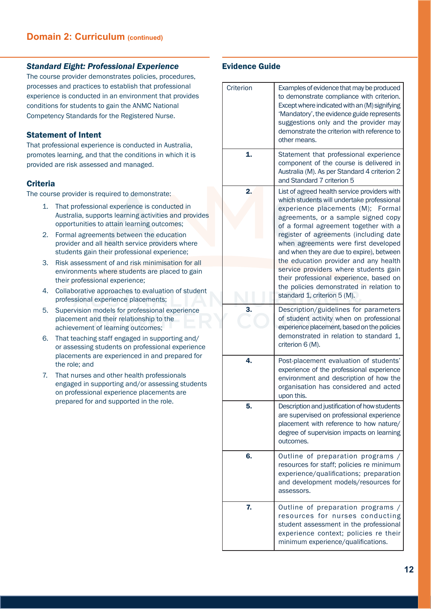### *Standard Eight: Professional Experience*

The course provider demonstrates policies, procedures, processes and practices to establish that professional experience is conducted in an environment that provides conditions for students to gain the ANMC National Competency Standards for the Registered Nurse.

# Statement of Intent

That professional experience is conducted in Australia, promotes learning, and that the conditions in which it is provided are risk assessed and managed.

# **Criteria**

The course provider is required to demonstrate:

- 1. That professional experience is conducted in Australia, supports learning activities and provides opportunities to attain learning outcomes;
- 2. Formal agreements between the education provider and all health service providers where students gain their professional experience;
- 3. Risk assessment of and risk minimisation for all environments where students are placed to gain their professional experience;
- 4. Collaborative approaches to evaluation of student professional experience placements;
- 5. Supervision models for professional experience placement and their relationship to the achievement of learning outcomes;
- 6. That teaching staff engaged in supporting and/ or assessing students on professional experience placements are experienced in and prepared for the role; and
- 7. That nurses and other health professionals engaged in supporting and/or assessing students on professional experience placements are prepared for and supported in the role.

| Criterion | Examples of evidence that may be produced<br>to demonstrate compliance with criterion.<br>Except where indicated with an (M) signifying<br>'Mandatory', the evidence guide represents<br>suggestions only and the provider may<br>demonstrate the criterion with reference to<br>other means.                                                                                                                                                                                                                                                              |
|-----------|------------------------------------------------------------------------------------------------------------------------------------------------------------------------------------------------------------------------------------------------------------------------------------------------------------------------------------------------------------------------------------------------------------------------------------------------------------------------------------------------------------------------------------------------------------|
| 1.        | Statement that professional experience<br>component of the course is delivered in<br>Australia (M). As per Standard 4 criterion 2<br>and Standard 7 criterion 5                                                                                                                                                                                                                                                                                                                                                                                            |
| 2.        | List of agreed health service providers with<br>which students will undertake professional<br>experience placements (M);<br>Formal<br>agreements, or a sample signed copy<br>of a formal agreement together with a<br>register of agreements (including date<br>when agreements were first developed<br>and when they are due to expire), between<br>the education provider and any health<br>service providers where students gain<br>their professional experience, based on<br>the policies demonstrated in relation to<br>standard 1, criterion 5 (M). |
| 3.        | Description/guidelines for parameters<br>of student activity when on professional<br>experience placement, based on the policies<br>demonstrated in relation to standard 1,<br>criterion 6 (M).                                                                                                                                                                                                                                                                                                                                                            |
| 4.        | Post-placement evaluation of students'<br>experience of the professional experience<br>environment and description of how the<br>organisation has considered and acted<br>upon this.                                                                                                                                                                                                                                                                                                                                                                       |
| 5.        | Description and justification of how students<br>are supervised on professional experience<br>placement with reference to how nature/<br>degree of supervision impacts on learning<br>outcomes.                                                                                                                                                                                                                                                                                                                                                            |
| 6.        | Outline of preparation programs /<br>resources for staff; policies re minimum<br>experience/qualifications; preparation<br>and development models/resources for<br>assessors.                                                                                                                                                                                                                                                                                                                                                                              |
| 7.        | Outline of preparation programs /<br>resources for nurses conducting<br>student assessment in the professional<br>experience context; policies re their<br>minimum experience/qualifications.                                                                                                                                                                                                                                                                                                                                                              |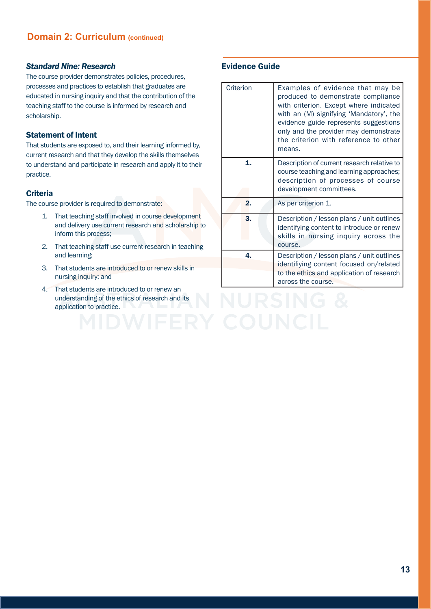#### *Standard Nine: Research*

The course provider demonstrates policies, procedures, processes and practices to establish that graduates are educated in nursing inquiry and that the contribution of the teaching staff to the course is informed by research and scholarship.

# Statement of Intent

That students are exposed to, and their learning informed by, current research and that they develop the skills themselves to understand and participate in research and apply it to their practice.

#### **Criteria**

The course provider is required to demonstrate:

- 1. That teaching staff involved in course development and delivery use current research and scholarship to inform this process;
- 2. That teaching staff use current research in teaching and learning;
- 3. That students are introduced to or renew skills in nursing inquiry; and
- 4. That students are introduced to or renew an understanding of the ethics of research and its application to practice.

| Criterion | Examples of evidence that may be<br>produced to demonstrate compliance<br>with criterion. Except where indicated<br>with an (M) signifying 'Mandatory', the<br>evidence guide represents suggestions<br>only and the provider may demonstrate<br>the criterion with reference to other<br>means. |
|-----------|--------------------------------------------------------------------------------------------------------------------------------------------------------------------------------------------------------------------------------------------------------------------------------------------------|
| 1.        | Description of current research relative to<br>course teaching and learning approaches;<br>description of processes of course<br>development committees.                                                                                                                                         |
| 2.        | As per criterion 1.                                                                                                                                                                                                                                                                              |
| 3.        | Description / lesson plans / unit outlines<br>identifying content to introduce or renew<br>skills in nursing inquiry across the<br>course.                                                                                                                                                       |
| 4.        | Description / lesson plans / unit outlines<br>identifiying content focused on/related                                                                                                                                                                                                            |
|           | to the ethics and application of research<br>across the course.                                                                                                                                                                                                                                  |